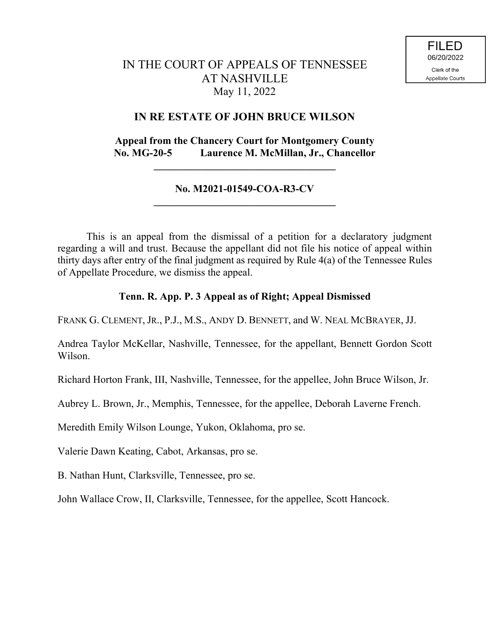# IN THE COURT OF APPEALS OF TENNESSEE AT NASHVILLE May 11, 2022

# **IN RE ESTATE OF JOHN BRUCE WILSON**

# **Appeal from the Chancery Court for Montgomery County No. MG-20-5 Laurence M. McMillan, Jr., Chancellor**

**\_\_\_\_\_\_\_\_\_\_\_\_\_\_\_\_\_\_\_\_\_\_\_\_\_\_\_\_\_\_\_\_\_\_\_**

## **No. M2021-01549-COA-R3-CV \_\_\_\_\_\_\_\_\_\_\_\_\_\_\_\_\_\_\_\_\_\_\_\_\_\_\_\_\_\_\_\_\_\_\_**

This is an appeal from the dismissal of a petition for a declaratory judgment regarding a will and trust. Because the appellant did not file his notice of appeal within thirty days after entry of the final judgment as required by Rule 4(a) of the Tennessee Rules of Appellate Procedure, we dismiss the appeal.

# **Tenn. R. App. P. 3 Appeal as of Right; Appeal Dismissed**

FRANK G. CLEMENT, JR., P.J., M.S., ANDY D. BENNETT, and W. NEAL MCBRAYER, JJ.

Andrea Taylor McKellar, Nashville, Tennessee, for the appellant, Bennett Gordon Scott Wilson.

Richard Horton Frank, III, Nashville, Tennessee, for the appellee, John Bruce Wilson, Jr.

Aubrey L. Brown, Jr., Memphis, Tennessee, for the appellee, Deborah Laverne French.

Meredith Emily Wilson Lounge, Yukon, Oklahoma, pro se.

Valerie Dawn Keating, Cabot, Arkansas, pro se.

B. Nathan Hunt, Clarksville, Tennessee, pro se.

John Wallace Crow, II, Clarksville, Tennessee, for the appellee, Scott Hancock.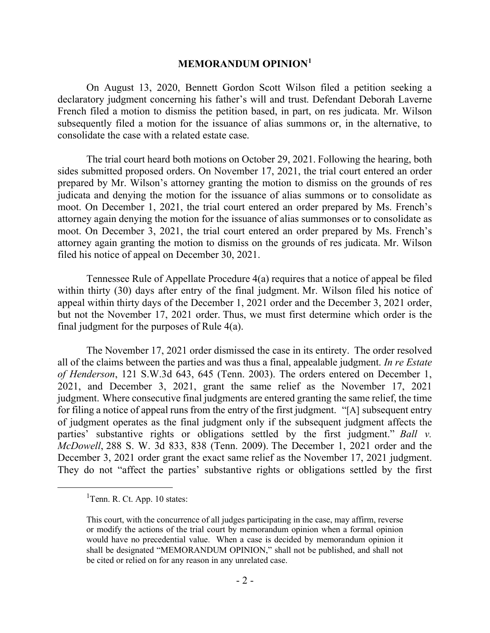#### **MEMORANDUM OPINION<sup>1</sup>**

On August 13, 2020, Bennett Gordon Scott Wilson filed a petition seeking a declaratory judgment concerning his father's will and trust. Defendant Deborah Laverne French filed a motion to dismiss the petition based, in part, on res judicata. Mr. Wilson subsequently filed a motion for the issuance of alias summons or, in the alternative, to consolidate the case with a related estate case.

The trial court heard both motions on October 29, 2021. Following the hearing, both sides submitted proposed orders. On November 17, 2021, the trial court entered an order prepared by Mr. Wilson's attorney granting the motion to dismiss on the grounds of res judicata and denying the motion for the issuance of alias summons or to consolidate as moot. On December 1, 2021, the trial court entered an order prepared by Ms. French's attorney again denying the motion for the issuance of alias summonses or to consolidate as moot. On December 3, 2021, the trial court entered an order prepared by Ms. French's attorney again granting the motion to dismiss on the grounds of res judicata. Mr. Wilson filed his notice of appeal on December 30, 2021.

Tennessee Rule of Appellate Procedure 4(a) requires that a notice of appeal be filed within thirty (30) days after entry of the final judgment. Mr. Wilson filed his notice of appeal within thirty days of the December 1, 2021 order and the December 3, 2021 order, but not the November 17, 2021 order. Thus, we must first determine which order is the final judgment for the purposes of Rule 4(a).

The November 17, 2021 order dismissed the case in its entirety. The order resolved all of the claims between the parties and was thus a final, appealable judgment. *In re Estate of Henderson*, 121 S.W.3d 643, 645 (Tenn. 2003). The orders entered on December 1, 2021, and December 3, 2021, grant the same relief as the November 17, 2021 judgment. Where consecutive final judgments are entered granting the same relief, the time for filing a notice of appeal runs from the entry of the first judgment. "[A] subsequent entry of judgment operates as the final judgment only if the subsequent judgment affects the parties' substantive rights or obligations settled by the first judgment." *Ball v. McDowell*, 288 S. W. 3d 833, 838 (Tenn. 2009). The December 1, 2021 order and the December 3, 2021 order grant the exact same relief as the November 17, 2021 judgment. They do not "affect the parties' substantive rights or obligations settled by the first

 $\overline{a}$ 

<sup>&</sup>lt;sup>1</sup>Tenn. R. Ct. App. 10 states:

This court, with the concurrence of all judges participating in the case, may affirm, reverse or modify the actions of the trial court by memorandum opinion when a formal opinion would have no precedential value. When a case is decided by memorandum opinion it shall be designated "MEMORANDUM OPINION," shall not be published, and shall not be cited or relied on for any reason in any unrelated case.